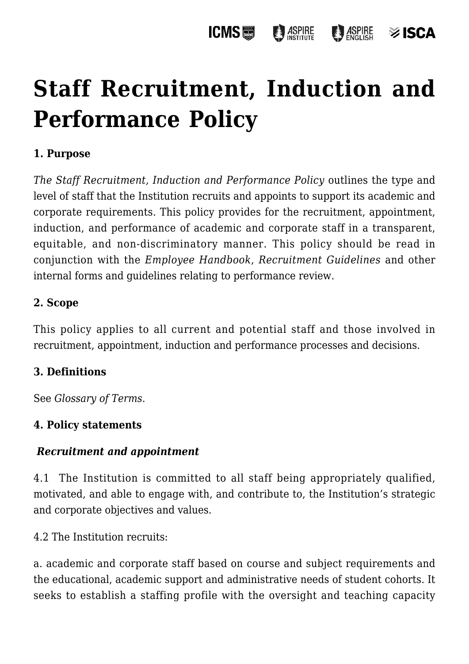# **[Staff Recruitment, Induction and](https://policies.icms.edu.au/staff-recruitment-induction-and-performance-policy/) [Performance Policy](https://policies.icms.edu.au/staff-recruitment-induction-and-performance-policy/)**

# **1. Purpose**

*The Staff Recruitment, Induction and Performance Policy* outlines the type and level of staff that the Institution recruits and appoints to support its academic and corporate requirements. This policy provides for the recruitment, appointment, induction, and performance of academic and corporate staff in a transparent, equitable, and non-discriminatory manner. This policy should be read in conjunction with the *Employee Handbook*, *Recruitment Guidelines* and other internal forms and guidelines relating to performance review.

# **2. Scope**

This policy applies to all current and potential staff and those involved in recruitment, appointment, induction and performance processes and decisions.

# **3. Definitions**

See *Glossary of Terms*.

# **4. Policy statements**

# *Recruitment and appointment*

4.1 The Institution is committed to all staff being appropriately qualified, motivated, and able to engage with, and contribute to, the Institution's strategic and corporate objectives and values.

4.2 The Institution recruits:

a. academic and corporate staff based on course and subject requirements and the educational, academic support and administrative needs of student cohorts. It seeks to establish a staffing profile with the oversight and teaching capacity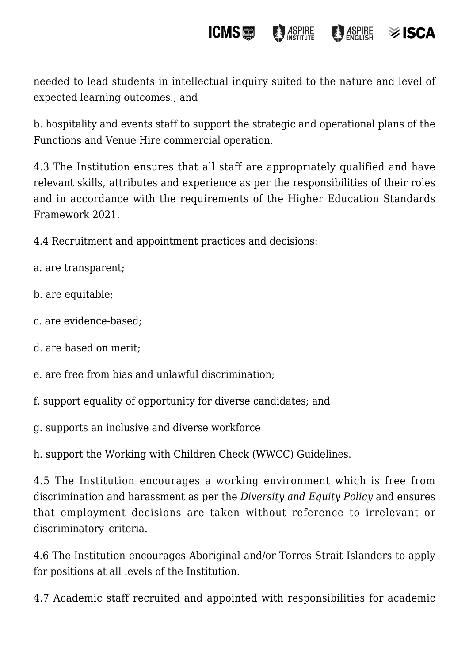#### **ICMS**圖 **ASPIRE**  $\bigcirc$  *ASPIRE*  $\otimes$  ISCA

needed to lead students in intellectual inquiry suited to the nature and level of expected learning outcomes.; and

b. hospitality and events staff to support the strategic and operational plans of the Functions and Venue Hire commercial operation.

4.3 The Institution ensures that all staff are appropriately qualified and have relevant skills, attributes and experience as per the responsibilities of their roles and in accordance with the requirements of the Higher Education Standards Framework 2021.

4.4 Recruitment and appointment practices and decisions:

- a. are transparent;
- b. are equitable;
- c. are evidence-based;
- d. are based on merit;
- e. are free from bias and unlawful discrimination;
- f. support equality of opportunity for diverse candidates; and
- g. supports an inclusive and diverse workforce

h. support the Working with Children Check (WWCC) Guidelines.

4.5 The Institution encourages a working environment which is free from discrimination and harassment as per the *Diversity and Equity Policy* and ensures that employment decisions are taken without reference to irrelevant or discriminatory criteria.

4.6 The Institution encourages Aboriginal and/or Torres Strait Islanders to apply for positions at all levels of the Institution.

4.7 Academic staff recruited and appointed with responsibilities for academic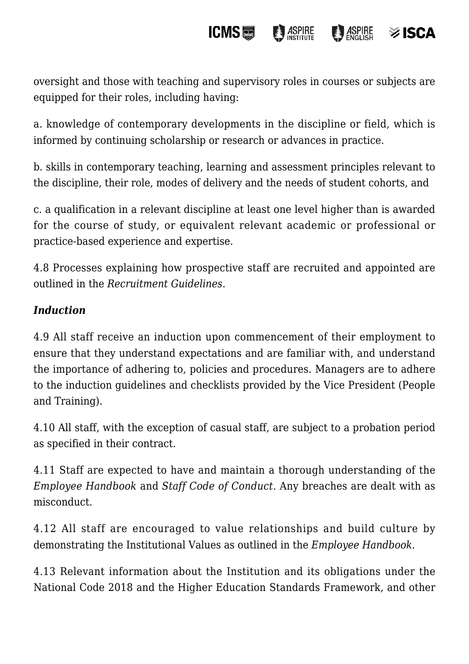#### **ICMS**  $\frac{1}{2}$  ASPIRE  $\otimes$  ISCA

oversight and those with teaching and supervisory roles in courses or subjects are equipped for their roles, including having:

a. knowledge of contemporary developments in the discipline or field, which is informed by continuing scholarship or research or advances in practice.

b. skills in contemporary teaching, learning and assessment principles relevant to the discipline, their role, modes of delivery and the needs of student cohorts, and

c. a qualification in a relevant discipline at least one level higher than is awarded for the course of study, or equivalent relevant academic or professional or practice-based experience and expertise.

4.8 Processes explaining how prospective staff are recruited and appointed are outlined in the *Recruitment Guidelines*.

# *Induction*

4.9 All staff receive an induction upon commencement of their employment to ensure that they understand expectations and are familiar with, and understand the importance of adhering to, policies and procedures. Managers are to adhere to the induction guidelines and checklists provided by the Vice President (People and Training).

4.10 All staff, with the exception of casual staff, are subject to a probation period as specified in their contract.

4.11 Staff are expected to have and maintain a thorough understanding of the *Employee Handbook* and *Staff Code of Conduct*. Any breaches are dealt with as misconduct.

4.12 All staff are encouraged to value relationships and build culture by demonstrating the Institutional Values as outlined in the *Employee Handbook*.

4.13 Relevant information about the Institution and its obligations under the National Code 2018 and the Higher Education Standards Framework, and other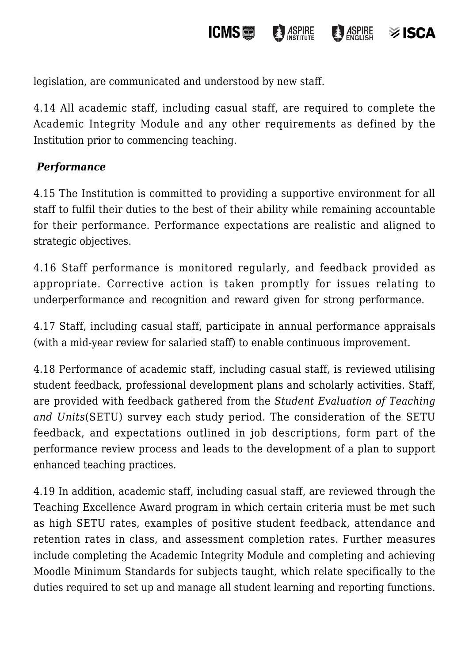legislation, are communicated and understood by new staff.

4.14 All academic staff, including casual staff, are required to complete the Academic Integrity Module and any other requirements as defined by the Institution prior to commencing teaching.

**ICMS圖** 

**ASPIRE** 

**ASPIRE** 

≫ ISCA

# *Performance*

4.15 The Institution is committed to providing a supportive environment for all staff to fulfil their duties to the best of their ability while remaining accountable for their performance. Performance expectations are realistic and aligned to strategic objectives.

4.16 Staff performance is monitored regularly, and feedback provided as appropriate. Corrective action is taken promptly for issues relating to underperformance and recognition and reward given for strong performance.

4.17 Staff, including casual staff, participate in annual performance appraisals (with a mid-year review for salaried staff) to enable continuous improvement.

4.18 Performance of academic staff, including casual staff, is reviewed utilising student feedback, professional development plans and scholarly activities. Staff, are provided with feedback gathered from the *Student Evaluation of Teaching and Units*(SETU) survey each study period. The consideration of the SETU feedback, and expectations outlined in job descriptions, form part of the performance review process and leads to the development of a plan to support enhanced teaching practices.

4.19 In addition, academic staff, including casual staff, are reviewed through the Teaching Excellence Award program in which certain criteria must be met such as high SETU rates, examples of positive student feedback, attendance and retention rates in class, and assessment completion rates. Further measures include completing the Academic Integrity Module and completing and achieving Moodle Minimum Standards for subjects taught, which relate specifically to the duties required to set up and manage all student learning and reporting functions.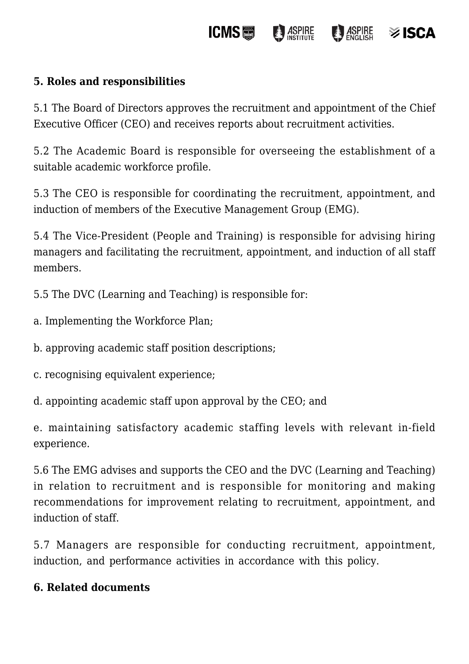#### **ICMS圖 ASPIRE**  $\bigcirc$  *ASPIRE*

 $\otimes$  ISCA

# **5. Roles and responsibilities**

5.1 The Board of Directors approves the recruitment and appointment of the Chief Executive Officer (CEO) and receives reports about recruitment activities.

5.2 The Academic Board is responsible for overseeing the establishment of a suitable academic workforce profile.

5.3 The CEO is responsible for coordinating the recruitment, appointment, and induction of members of the Executive Management Group (EMG).

5.4 The Vice-President (People and Training) is responsible for advising hiring managers and facilitating the recruitment, appointment, and induction of all staff members.

5.5 The DVC (Learning and Teaching) is responsible for:

- a. Implementing the Workforce Plan;
- b. approving academic staff position descriptions;
- c. recognising equivalent experience;
- d. appointing academic staff upon approval by the CEO; and

e. maintaining satisfactory academic staffing levels with relevant in-field experience.

5.6 The EMG advises and supports the CEO and the DVC (Learning and Teaching) in relation to recruitment and is responsible for monitoring and making recommendations for improvement relating to recruitment, appointment, and induction of staff.

5.7 Managers are responsible for conducting recruitment, appointment, induction, and performance activities in accordance with this policy.

# **6. Related documents**